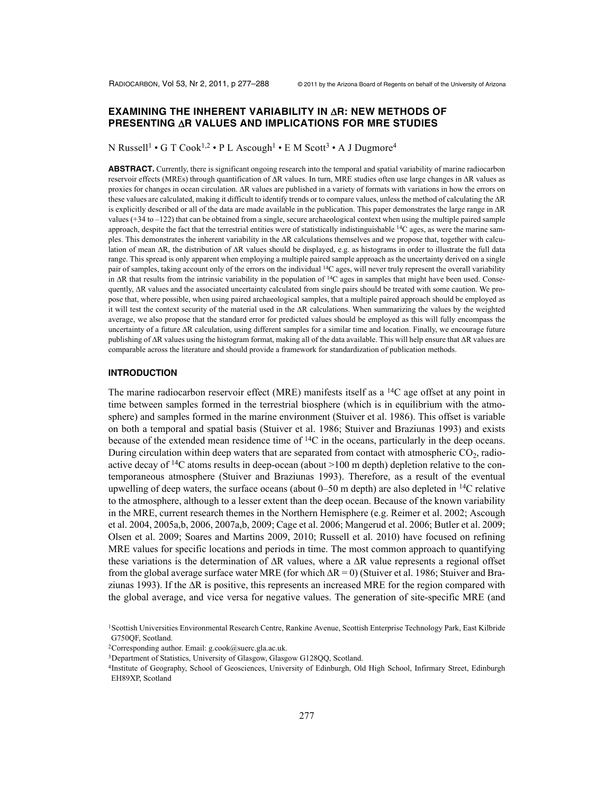# **EXAMINING THE INHERENT VARIABILITY IN** D**R: NEW METHODS OF PRESENTING** D**R VALUES AND IMPLICATIONS FOR MRE STUDIES**

N Russell<sup>1</sup> • G T Cook<sup>1,2</sup> • P L Ascough<sup>1</sup> • E M Scott<sup>3</sup> • A J Dugmore<sup>4</sup>

**ABSTRACT.** Currently, there is significant ongoing research into the temporal and spatial variability of marine radiocarbon reservoir effects (MREs) through quantification of  $\Delta R$  values. In turn, MRE studies often use large changes in  $\Delta R$  values as proxies for changes in ocean circulation. AR values are published in a variety of formats with variations in how the errors on these values are calculated, making it difficult to identify trends or to compare values, unless the method of calculating the  $\Delta R$ is explicitly described or all of the data are made available in the publication. This paper demonstrates the large range in  $\Delta R$ values (+34 to –122) that can be obtained from a single, secure archaeological context when using the multiple paired sample approach, despite the fact that the terrestrial entities were of statistically indistinguishable  ${}^{14}C$  ages, as were the marine samples. This demonstrates the inherent variability in the  $\Delta R$  calculations themselves and we propose that, together with calculation of mean  $\Delta R$ , the distribution of  $\Delta R$  values should be displayed, e.g. as histograms in order to illustrate the full data range. This spread is only apparent when employing a multiple paired sample approach as the uncertainty derived on a single pair of samples, taking account only of the errors on the individual <sup>14</sup>C ages, will never truly represent the overall variability in  $\Delta R$  that results from the intrinsic variability in the population of  $14C$  ages in samples that might have been used. Consequently,  $\Delta R$  values and the associated uncertainty calculated from single pairs should be treated with some caution. We propose that, where possible, when using paired archaeological samples, that a multiple paired approach should be employed as it will test the context security of the material used in the  $\Delta R$  calculations. When summarizing the values by the weighted average, we also propose that the standard error for predicted values should be employed as this will fully encompass the uncertainty of a future AR calculation, using different samples for a similar time and location. Finally, we encourage future publishing of  $\Delta R$  values using the histogram format, making all of the data available. This will help ensure that  $\Delta R$  values are comparable across the literature and should provide a framework for standardization of publication methods.

#### **INTRODUCTION**

The marine radiocarbon reservoir effect (MRE) manifests itself as a  $^{14}C$  age offset at any point in time between samples formed in the terrestrial biosphere (which is in equilibrium with the atmosphere) and samples formed in the marine environment (Stuiver et al. 1986). This offset is variable on both a temporal and spatial basis (Stuiver et al. 1986; Stuiver and Braziunas 1993) and exists because of the extended mean residence time of  $14C$  in the oceans, particularly in the deep oceans. During circulation within deep waters that are separated from contact with atmospheric  $CO<sub>2</sub>$ , radioactive decay of  ${}^{14}C$  atoms results in deep-ocean (about >100 m depth) depletion relative to the contemporaneous atmosphere (Stuiver and Braziunas 1993). Therefore, as a result of the eventual upwelling of deep waters, the surface oceans (about  $0-50$  m depth) are also depleted in <sup>14</sup>C relative to the atmosphere, although to a lesser extent than the deep ocean. Because of the known variability in the MRE, current research themes in the Northern Hemisphere (e.g. Reimer et al. 2002; Ascough et al. 2004, 2005a,b, 2006, 2007a,b, 2009; Cage et al. 2006; Mangerud et al. 2006; Butler et al. 2009; Olsen et al. 2009; Soares and Martins 2009, 2010; Russell et al. 2010) have focused on refining MRE values for specific locations and periods in time. The most common approach to quantifying these variations is the determination of  $\Delta R$  values, where a  $\Delta R$  value represents a regional offset from the global average surface water MRE (for which  $\Delta R = 0$ ) (Stuiver et al. 1986; Stuiver and Braziunas 1993). If the  $\Delta R$  is positive, this represents an increased MRE for the region compared with the global average, and vice versa for negative values. The generation of site-specific MRE (and

<sup>1</sup>Scottish Universities Environmental Research Centre, Rankine Avenue, Scottish Enterprise Technology Park, East Kilbride G750QF, Scotland.

<sup>&</sup>lt;sup>2</sup>Corresponding author. Email:  $g.cook@suerc.gla.ac.uk$ .

<sup>3</sup>Department of Statistics, University of Glasgow, Glasgow G128QQ, Scotland.

<sup>4</sup>Institute of Geography, School of Geosciences, University of Edinburgh, Old High School, Infirmary Street, Edinburgh EH89XP, Scotland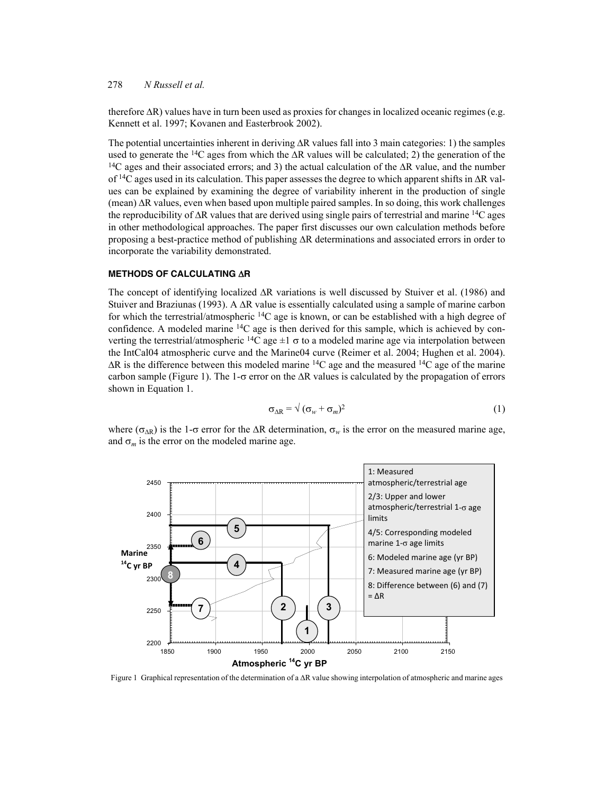therefore  $\Delta R$ ) values have in turn been used as proxies for changes in localized oceanic regimes (e.g. Kennett et al. 1997; Kovanen and Easterbrook 2002).

The potential uncertainties inherent in deriving  $\Delta R$  values fall into 3 main categories: 1) the samples used to generate the <sup>14</sup>C ages from which the  $\Delta R$  values will be calculated; 2) the generation of the <sup>14</sup>C ages and their associated errors; and 3) the actual calculation of the  $\Delta R$  value, and the number of <sup>14</sup>C ages used in its calculation. This paper assesses the degree to which apparent shifts in  $\Delta R$  values can be explained by examining the degree of variability inherent in the production of single  $(mean)$   $\Delta$ R values, even when based upon multiple paired samples. In so doing, this work challenges the reproducibility of  $\Delta R$  values that are derived using single pairs of terrestrial and marine <sup>14</sup>C ages in other methodological approaches. The paper first discusses our own calculation methods before proposing a best-practice method of publishing  $\Delta R$  determinations and associated errors in order to incorporate the variability demonstrated.

#### **METHODS OF CALCULATING AR**

The concept of identifying localized  $\Delta R$  variations is well discussed by Stuiver et al. (1986) and Stuiver and Braziunas (1993). A  $\Delta R$  value is essentially calculated using a sample of marine carbon for which the terrestrial/atmospheric  $14C$  age is known, or can be established with a high degree of confidence. A modeled marine  $14C$  age is then derived for this sample, which is achieved by converting the terrestrial/atmospheric <sup>14</sup>C age  $\pm 1 \sigma$  to a modeled marine age via interpolation between the IntCal04 atmospheric curve and the Marine04 curve (Reimer et al. 2004; Hughen et al. 2004).  $\Delta R$  is the difference between this modeled marine <sup>14</sup>C age and the measured <sup>14</sup>C age of the marine carbon sample (Figure 1). The 1- $\sigma$  error on the  $\Delta R$  values is calculated by the propagation of errors shown in Equation 1.

$$
\sigma_{\Delta R} = \sqrt{(\sigma_w + \sigma_m)^2} \tag{1}
$$

where ( $\sigma_{\Delta R}$ ) is the 1- $\sigma$  error for the  $\Delta R$  determination,  $\sigma_w$  is the error on the measured marine age, and  $\sigma_m$  is the error on the modeled marine age.



Figure 1 Graphical representation of the determination of a  $\Delta R$  value showing interpolation of atmospheric and marine ages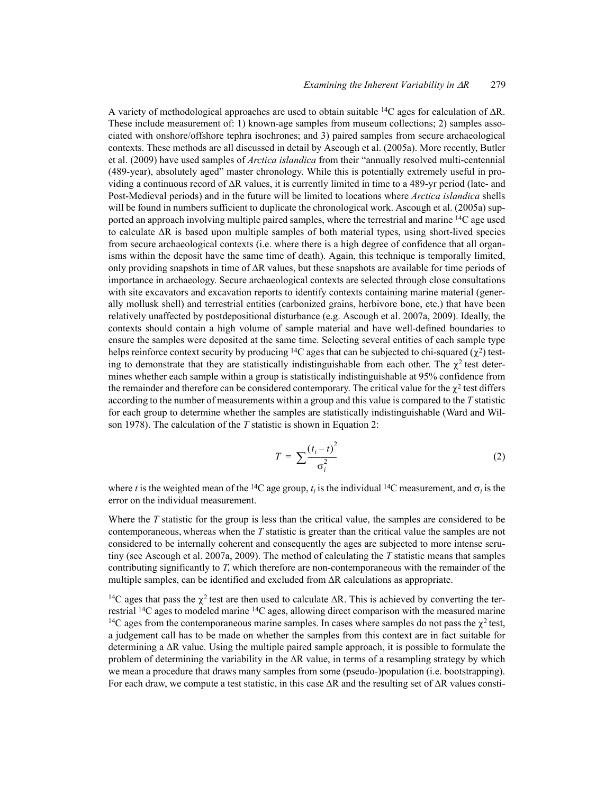A variety of methodological approaches are used to obtain suitable <sup>14</sup>C ages for calculation of  $\Delta R$ . These include measurement of: 1) known-age samples from museum collections; 2) samples associated with onshore/offshore tephra isochrones; and 3) paired samples from secure archaeological contexts. These methods are all discussed in detail by Ascough et al. (2005a). More recently, Butler et al. (2009) have used samples of *Arctica islandica* from their "annually resolved multi-centennial (489-year), absolutely aged" master chronology. While this is potentially extremely useful in providing a continuous record of  $\Delta R$  values, it is currently limited in time to a 489-yr period (late- and Post-Medieval periods) and in the future will be limited to locations where *Arctica islandica* shells will be found in numbers sufficient to duplicate the chronological work. Ascough et al. (2005a) supported an approach involving multiple paired samples, where the terrestrial and marine <sup>14</sup>C age used to calculate  $\Delta R$  is based upon multiple samples of both material types, using short-lived species from secure archaeological contexts (i.e. where there is a high degree of confidence that all organisms within the deposit have the same time of death). Again, this technique is temporally limited, only providing snapshots in time of  $\Delta R$  values, but these snapshots are available for time periods of importance in archaeology. Secure archaeological contexts are selected through close consultations with site excavators and excavation reports to identify contexts containing marine material (generally mollusk shell) and terrestrial entities (carbonized grains, herbivore bone, etc.) that have been relatively unaffected by postdepositional disturbance (e.g. Ascough et al. 2007a, 2009). Ideally, the contexts should contain a high volume of sample material and have well-defined boundaries to ensure the samples were deposited at the same time. Selecting several entities of each sample type helps reinforce context security by producing <sup>14</sup>C ages that can be subjected to chi-squared ( $\chi^2$ ) testing to demonstrate that they are statistically indistinguishable from each other. The  $\chi^2$  test determines whether each sample within a group is statistically indistinguishable at 95% confidence from the remainder and therefore can be considered contemporary. The critical value for the  $\gamma^2$  test differs according to the number of measurements within a group and this value is compared to the *T* statistic for each group to determine whether the samples are statistically indistinguishable (Ward and Wilson 1978). The calculation of the *T* statistic is shown in Equation 2:

$$
T = \sum \frac{\left(t_i - t\right)^2}{\sigma_i^2} \tag{2}
$$

where *t* is the weighted mean of the <sup>14</sup>C age group,  $t_i$  is the individual <sup>14</sup>C measurement, and  $\sigma_i$  is the error on the individual measurement.

Where the *T* statistic for the group is less than the critical value, the samples are considered to be contemporaneous, whereas when the *T* statistic is greater than the critical value the samples are not considered to be internally coherent and consequently the ages are subjected to more intense scrutiny (see Ascough et al. 2007a, 2009). The method of calculating the *T* statistic means that samples contributing significantly to *T*, which therefore are non-contemporaneous with the remainder of the multiple samples, can be identified and excluded from  $\Delta R$  calculations as appropriate.

<sup>14</sup>C ages that pass the  $\chi^2$  test are then used to calculate  $\Delta R$ . This is achieved by converting the terrestrial 14C ages to modeled marine 14C ages, allowing direct comparison with the measured marine <sup>14</sup>C ages from the contemporaneous marine samples. In cases where samples do not pass the  $\chi^2$  test, a judgement call has to be made on whether the samples from this context are in fact suitable for determining a  $\Delta R$  value. Using the multiple paired sample approach, it is possible to formulate the problem of determining the variability in the  $\Delta R$  value, in terms of a resampling strategy by which we mean a procedure that draws many samples from some (pseudo-)population (i.e. bootstrapping). For each draw, we compute a test statistic, in this case  $\Delta R$  and the resulting set of  $\Delta R$  values consti-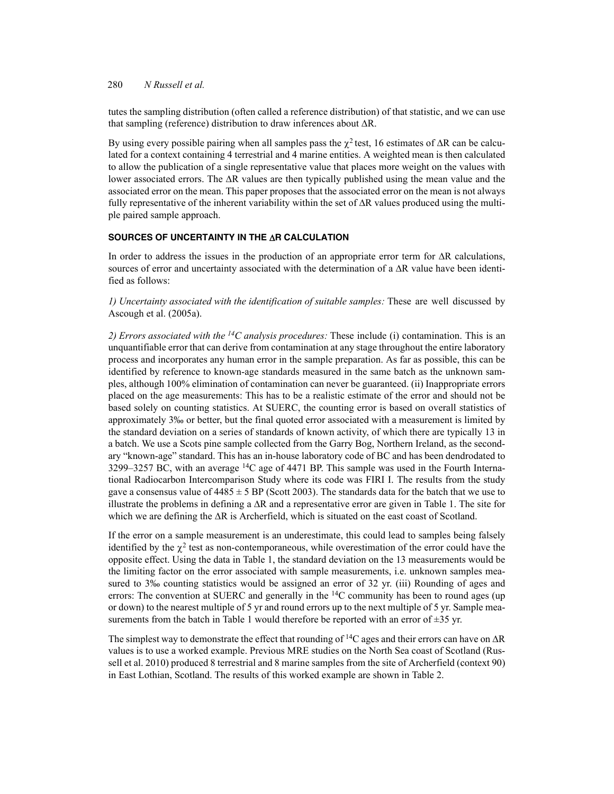tutes the sampling distribution (often called a reference distribution) of that statistic, and we can use that sampling (reference) distribution to draw inferences about  $\Delta R$ .

By using every possible pairing when all samples pass the  $\chi^2$  test, 16 estimates of  $\Delta R$  can be calculated for a context containing 4 terrestrial and 4 marine entities. A weighted mean is then calculated to allow the publication of a single representative value that places more weight on the values with lower associated errors. The  $\Delta R$  values are then typically published using the mean value and the associated error on the mean. This paper proposes that the associated error on the mean is not always fully representative of the inherent variability within the set of  $\Delta R$  values produced using the multiple paired sample approach.

#### **SOURCES OF UNCERTAINTY IN THE AR CALCULATION**

In order to address the issues in the production of an appropriate error term for  $\Delta R$  calculations, sources of error and uncertainty associated with the determination of a  $\Delta R$  value have been identified as follows:

*1) Uncertainty associated with the identification of suitable samples:* These are well discussed by Ascough et al. (2005a).

*2) Errors associated with the 14C analysis procedures:* These include (i) contamination. This is an unquantifiable error that can derive from contamination at any stage throughout the entire laboratory process and incorporates any human error in the sample preparation. As far as possible, this can be identified by reference to known-age standards measured in the same batch as the unknown samples, although 100% elimination of contamination can never be guaranteed. (ii) Inappropriate errors placed on the age measurements: This has to be a realistic estimate of the error and should not be based solely on counting statistics. At SUERC, the counting error is based on overall statistics of approximately 3‰ or better, but the final quoted error associated with a measurement is limited by the standard deviation on a series of standards of known activity, of which there are typically 13 in a batch. We use a Scots pine sample collected from the Garry Bog, Northern Ireland, as the secondary "known-age" standard. This has an in-house laboratory code of BC and has been dendrodated to 3299–3257 BC, with an average  ${}^{14}C$  age of 4471 BP. This sample was used in the Fourth International Radiocarbon Intercomparison Study where its code was FIRI I. The results from the study gave a consensus value of  $4485 \pm 5$  BP (Scott 2003). The standards data for the batch that we use to illustrate the problems in defining a  $\Delta R$  and a representative error are given in Table 1. The site for which we are defining the  $\Delta R$  is Archerfield, which is situated on the east coast of Scotland.

If the error on a sample measurement is an underestimate, this could lead to samples being falsely identified by the  $\gamma^2$  test as non-contemporaneous, while overestimation of the error could have the opposite effect. Using the data in Table 1, the standard deviation on the 13 measurements would be the limiting factor on the error associated with sample measurements, i.e. unknown samples measured to 3‰ counting statistics would be assigned an error of 32 yr. (iii) Rounding of ages and errors: The convention at SUERC and generally in the  $^{14}$ C community has been to round ages (up or down) to the nearest multiple of 5 yr and round errors up to the next multiple of 5 yr. Sample measurements from the batch in Table 1 would therefore be reported with an error of  $\pm 35$  yr.

The simplest way to demonstrate the effect that rounding of <sup>14</sup>C ages and their errors can have on  $\Delta R$ values is to use a worked example. Previous MRE studies on the North Sea coast of Scotland (Russell et al. 2010) produced 8 terrestrial and 8 marine samples from the site of Archerfield (context 90) in East Lothian, Scotland. The results of this worked example are shown in Table 2.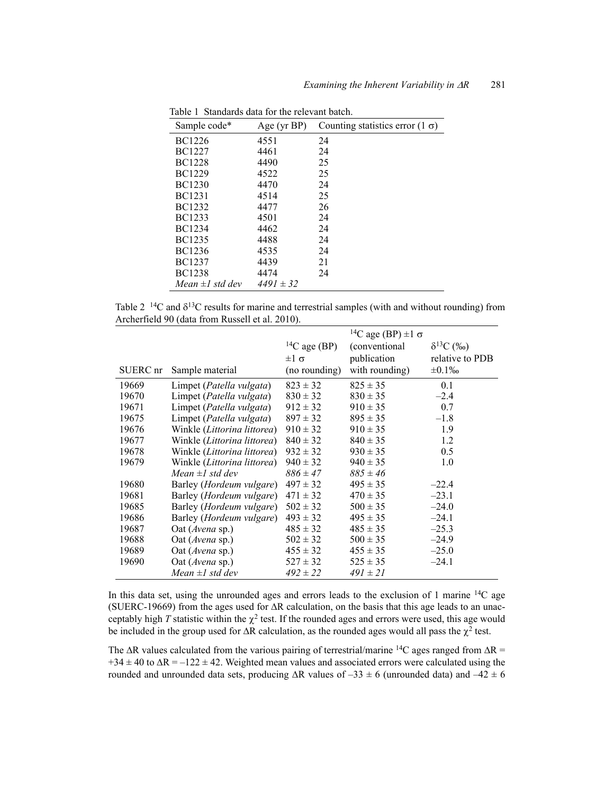| Sample code*                | Age (yr BP)   | Counting statistics error $(1 \sigma)$ |
|-----------------------------|---------------|----------------------------------------|
| <b>BC1226</b>               | 4551          | 24                                     |
| BC1227                      | 4461          | 24                                     |
| BC1228                      | 4490          | 25                                     |
| <b>BC1229</b>               | 4522          | 25                                     |
| BC1230                      | 4470          | 24                                     |
| <b>BC1231</b>               | 4514          | 25                                     |
| BC1232                      | 4477          | 26                                     |
| <b>BC1233</b>               | 4501          | 24                                     |
| <b>BC1234</b>               | 4462          | 24                                     |
| <b>BC1235</b>               | 4488          | 24                                     |
| <b>BC1236</b>               | 4535          | 24                                     |
| BC1237                      | 4439          | 21                                     |
| BC1238                      | 4474          | 24                                     |
| Mean $\pm$ <i>l</i> std dev | $4491 \pm 32$ |                                        |

Table 1 Standards data for the relevant batch.

Table 2  $14C$  and  $\delta^{13}C$  results for marine and terrestrial samples (with and without rounding) from Archerfield 90 (data from Russell et al. 2010).

|          |                                      |                          | <sup>14</sup> C age (BP) $\pm 1 \sigma$ |                     |
|----------|--------------------------------------|--------------------------|-----------------------------------------|---------------------|
|          |                                      | <sup>14</sup> C age (BP) | (conventional)                          | $\delta^{13}C$ (%o) |
|          |                                      | $±1$ σ                   | publication                             | relative to PDB     |
| SUERC nr | Sample material                      | (no rounding)            | with rounding)                          | $\pm 0.1\%$         |
| 19669    | Limpet ( <i>Patella vulgata</i> )    | $823 \pm 32$             | $825 \pm 35$                            | 0.1                 |
| 19670    | Limpet (Patella vulgata)             | $830 \pm 32$             | $830 \pm 35$                            | $-2.4$              |
| 19671    | Limpet (Patella vulgata)             | $912 \pm 32$             | $910 \pm 35$                            | 0.7                 |
| 19675    | Limpet (Patella vulgata)             | $897 \pm 32$             | $895 \pm 35$                            | $-1.8$              |
| 19676    | Winkle (Littorina littorea)          | $910 \pm 32$             | $910 \pm 35$                            | 1.9                 |
| 19677    | Winkle (Littorina littorea)          | $840 \pm 32$             | $840 \pm 35$                            | 1.2                 |
| 19678    | Winkle ( <i>Littorina littorea</i> ) | $932 \pm 32$             | $930 \pm 35$                            | 0.5                 |
| 19679    | Winkle (Littorina littorea)          | $940 \pm 32$             | $940 \pm 35$                            | 1.0                 |
|          | Mean $\pm$ <i>l</i> std dev          | $886 \pm 47$             | $885 \pm 46$                            |                     |
| 19680    | Barley ( <i>Hordeum vulgare</i> )    | $497 \pm 32$             | $495 \pm 35$                            | $-22.4$             |
| 19681    | Barley (Hordeum vulgare)             | $471 \pm 32$             | $470 \pm 35$                            | $-23.1$             |
| 19685    | Barley ( <i>Hordeum vulgare</i> )    | $502 \pm 32$             | $500 \pm 35$                            | $-24.0$             |
| 19686    | Barley (Hordeum vulgare)             | $493 \pm 32$             | $495 \pm 35$                            | $-24.1$             |
| 19687    | Oat (Avena sp.)                      | $485 \pm 32$             | $485 \pm 35$                            | $-25.3$             |
| 19688    | Oat (Avena sp.)                      | $502 \pm 32$             | $500 \pm 35$                            | $-24.9$             |
| 19689    | Oat ( <i>Avena</i> sp.)              | $455 \pm 32$             | $455 \pm 35$                            | $-25.0$             |
| 19690    | Oat (Avena sp.)                      | $527 \pm 32$             | $525 \pm 35$                            | $-24.1$             |
|          | Mean $\pm 1$ std dev                 | $492 \pm 22$             | $491 \pm 21$                            |                     |

In this data set, using the unrounded ages and errors leads to the exclusion of 1 marine 14C age (SUERC-19669) from the ages used for  $\Delta R$  calculation, on the basis that this age leads to an unacceptably high  $T$  statistic within the  $\chi^2$  test. If the rounded ages and errors were used, this age would be included in the group used for  $\Delta R$  calculation, as the rounded ages would all pass the  $\chi^2$  test.

The  $\Delta R$  values calculated from the various pairing of terrestrial/marine <sup>14</sup>C ages ranged from  $\Delta R$  =  $+34 \pm 40$  to  $\Delta R = -122 \pm 42$ . Weighted mean values and associated errors were calculated using the rounded and unrounded data sets, producing  $\Delta R$  values of  $-33 \pm 6$  (unrounded data) and  $-42 \pm 6$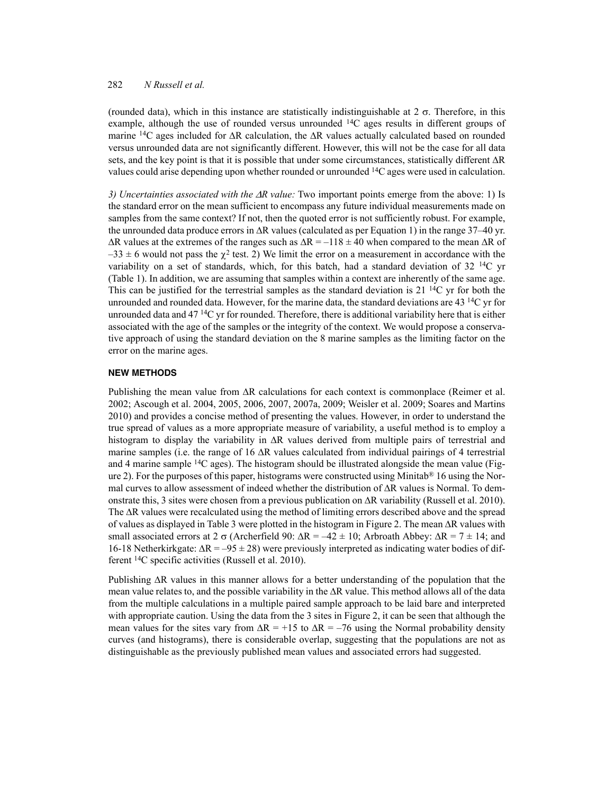(rounded data), which in this instance are statistically indistinguishable at  $2\sigma$ . Therefore, in this example, although the use of rounded versus unrounded  $^{14}C$  ages results in different groups of marine <sup>14</sup>C ages included for  $\Delta R$  calculation, the  $\Delta R$  values actually calculated based on rounded versus unrounded data are not significantly different. However, this will not be the case for all data sets, and the key point is that it is possible that under some circumstances, statistically different  $\Delta R$ values could arise depending upon whether rounded or unrounded  $^{14}C$  ages were used in calculation.

*3) Uncertainties associated with the*  $\Delta R$  *value:* Two important points emerge from the above: 1) Is the standard error on the mean sufficient to encompass any future individual measurements made on samples from the same context? If not, then the quoted error is not sufficiently robust. For example, the unrounded data produce errors in  $\Delta R$  values (calculated as per Equation 1) in the range 37–40 yr.  $\Delta R$  values at the extremes of the ranges such as  $\Delta R = -118 \pm 40$  when compared to the mean  $\Delta R$  of  $-33 \pm 6$  would not pass the  $\chi^2$  test. 2) We limit the error on a measurement in accordance with the variability on a set of standards, which, for this batch, had a standard deviation of  $32^{14}C$  yr (Table 1). In addition, we are assuming that samples within a context are inherently of the same age. This can be justified for the terrestrial samples as the standard deviation is  $21^{14}C$  yr for both the unrounded and rounded data. However, for the marine data, the standard deviations are 43<sup>14</sup>C yr for unrounded data and  $47^{14}$ C yr for rounded. Therefore, there is additional variability here that is either associated with the age of the samples or the integrity of the context. We would propose a conservative approach of using the standard deviation on the 8 marine samples as the limiting factor on the error on the marine ages.

#### **NEW METHODS**

Publishing the mean value from  $\Delta R$  calculations for each context is commonplace (Reimer et al. 2002; Ascough et al. 2004, 2005, 2006, 2007, 2007a, 2009; Weisler et al. 2009; Soares and Martins 2010) and provides a concise method of presenting the values. However, in order to understand the true spread of values as a more appropriate measure of variability, a useful method is to employ a histogram to display the variability in  $\Delta R$  values derived from multiple pairs of terrestrial and marine samples (i.e. the range of 16  $\Delta R$  values calculated from individual pairings of 4 terrestrial and 4 marine sample  $14C$  ages). The histogram should be illustrated alongside the mean value (Figure 2). For the purposes of this paper, histograms were constructed using Minitab<sup>®</sup> 16 using the Normal curves to allow assessment of indeed whether the distribution of  $\Delta R$  values is Normal. To demonstrate this, 3 sites were chosen from a previous publication on  $\Delta R$  variability (Russell et al. 2010). The  $\Delta R$  values were recalculated using the method of limiting errors described above and the spread of values as displayed in Table 3 were plotted in the histogram in Figure 2. The mean  $\Delta R$  values with small associated errors at  $2 \sigma$  (Archerfield 90:  $\Delta R = -42 \pm 10$ ; Arbroath Abbey:  $\Delta R = 7 \pm 14$ ; and 16-18 Netherkirkgate:  $\Delta R = -95 \pm 28$ ) were previously interpreted as indicating water bodies of different 14C specific activities (Russell et al. 2010).

Publishing  $\Delta R$  values in this manner allows for a better understanding of the population that the mean value relates to, and the possible variability in the  $\Delta R$  value. This method allows all of the data from the multiple calculations in a multiple paired sample approach to be laid bare and interpreted with appropriate caution. Using the data from the 3 sites in Figure 2, it can be seen that although the mean values for the sites vary from  $\Delta R = +15$  to  $\Delta R = -76$  using the Normal probability density curves (and histograms), there is considerable overlap, suggesting that the populations are not as distinguishable as the previously published mean values and associated errors had suggested.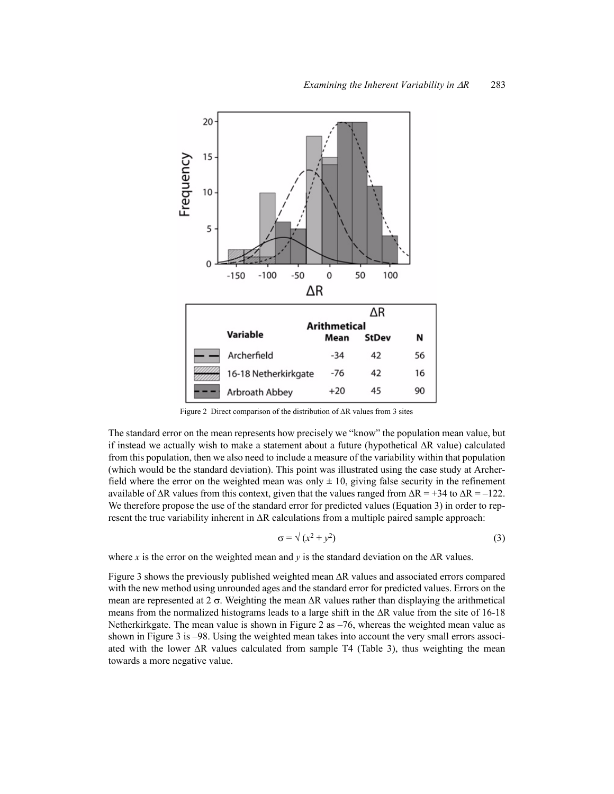

Figure 2 Direct comparison of the distribution of  $\Delta R$  values from 3 sites

The standard error on the mean represents how precisely we "know" the population mean value, but if instead we actually wish to make a statement about a future (hypothetical  $\Delta R$  value) calculated from this population, then we also need to include a measure of the variability within that population (which would be the standard deviation). This point was illustrated using the case study at Archerfield where the error on the weighted mean was only  $\pm 10$ , giving false security in the refinement available of  $\Delta R$  values from this context, given that the values ranged from  $\Delta R = +34$  to  $\Delta R = -122$ . We therefore propose the use of the standard error for predicted values (Equation 3) in order to represent the true variability inherent in  $\Delta R$  calculations from a multiple paired sample approach:

$$
\sigma = \sqrt{(x^2 + y^2)}\tag{3}
$$

where *x* is the error on the weighted mean and *y* is the standard deviation on the  $\Delta R$  values.

Figure 3 shows the previously published weighted mean  $\Delta R$  values and associated errors compared with the new method using unrounded ages and the standard error for predicted values. Errors on the mean are represented at  $2 \sigma$ . Weighting the mean  $\Delta R$  values rather than displaying the arithmetical means from the normalized histograms leads to a large shift in the  $\Delta R$  value from the site of 16-18 Netherkirkgate. The mean value is shown in Figure 2 as  $-76$ , whereas the weighted mean value as shown in Figure 3 is –98. Using the weighted mean takes into account the very small errors associated with the lower  $\Delta R$  values calculated from sample T4 (Table 3), thus weighting the mean towards a more negative value.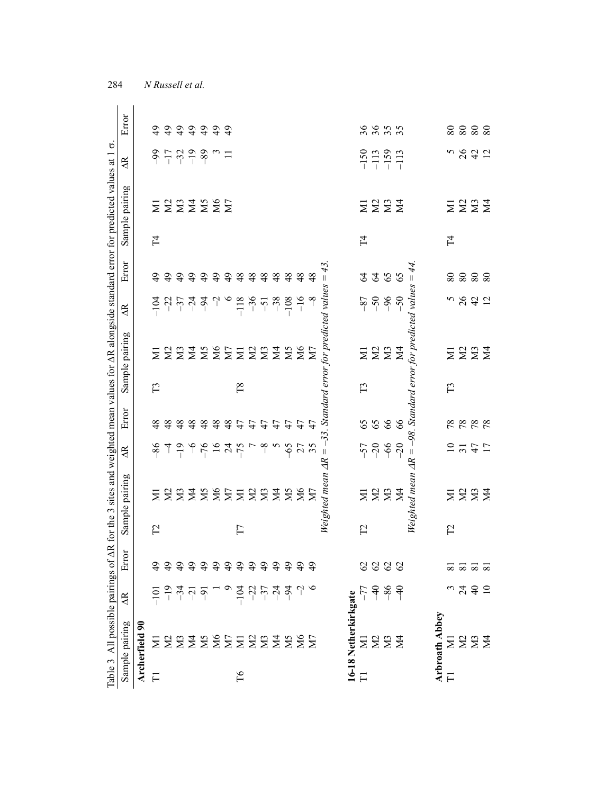| Table 3 All possible pairings of AR for the 3 sites and weighted mean values for AR alongside standard error for predicted values at 1<br>$=$ -33. Standard error for predicted values = 43.<br>$-8$<br>899<br>$-36$<br>$-5$<br>$-38$<br>$-108$<br>$-16$<br>$-118$<br>$-104$<br>$\overline{AB}$<br>Sample pairing<br>2332222232<br><b>NS<br/>NS</b><br>$\Xi$<br>$\Gamma$ 8<br>$\Gamma$<br>$\Gamma$<br>Error<br>59<br>48<br>48<br>48<br>47<br>$\overline{4}$<br>48<br>48<br>48<br>47<br>47<br>$\overline{4}$<br>47<br>47<br>$-6$<br>$-76$<br>$-24$<br>$\mathcal{L}$<br>$-65$<br>27<br>$-57$<br>$-20$<br>$-75$<br>$-8$<br>$-86$<br>$\frac{4}{5}$<br>$\overline{AB}$<br>Weighted mean AR<br>Sample pairing<br>$22222225$<br>ΣM<br>M6<br>$\overline{\mathbf{N}}$<br>$\overline{\Xi}$<br>$\overline{M}$<br>$\Gamma$<br>$\Gamma$<br>$\Gamma$<br>ኳ<br>$_{\rm{Ero}}$<br>79999999999<br>$\overline{6}$<br>$\frac{1}{2}$<br>$\frac{3}{4}$<br>$\frac{1}{2}$<br>7774<br>$-104$<br>$\sim$<br>$\frac{1}{1}$ $\frac{9}{1}$ $\frac{4}{1}$ $\frac{7}{1}$ $\frac{7}{1}$ $\frac{7}{1}$<br>16-18 Netherkirkgate<br>$\overline{A}$<br>Sample pairing<br>Archerfield 90<br>Z Z Z Z Z Z Z Z Z Z Z Z Z |
|--------------------------------------------------------------------------------------------------------------------------------------------------------------------------------------------------------------------------------------------------------------------------------------------------------------------------------------------------------------------------------------------------------------------------------------------------------------------------------------------------------------------------------------------------------------------------------------------------------------------------------------------------------------------------------------------------------------------------------------------------------------------------------------------------------------------------------------------------------------------------------------------------------------------------------------------------------------------------------------------------------------------------------------------------------------------------------------------------------------------------------------------------------------------------------|
| ZZZZ<br>66<br>66<br>$-66$<br>$-20$<br>$\frac{2}{2}$<br>$\Xi$<br>2222<br>$P$ $P$ $P$ $P$ $T$<br>$\Sigma \Sigma$<br>$\overline{M}$                                                                                                                                                                                                                                                                                                                                                                                                                                                                                                                                                                                                                                                                                                                                                                                                                                                                                                                                                                                                                                               |
|                                                                                                                                                                                                                                                                                                                                                                                                                                                                                                                                                                                                                                                                                                                                                                                                                                                                                                                                                                                                                                                                                                                                                                                |
|                                                                                                                                                                                                                                                                                                                                                                                                                                                                                                                                                                                                                                                                                                                                                                                                                                                                                                                                                                                                                                                                                                                                                                                |
|                                                                                                                                                                                                                                                                                                                                                                                                                                                                                                                                                                                                                                                                                                                                                                                                                                                                                                                                                                                                                                                                                                                                                                                |
| Weighted mean $\Delta R = -98$ . Standard error for predicted values = 44.                                                                                                                                                                                                                                                                                                                                                                                                                                                                                                                                                                                                                                                                                                                                                                                                                                                                                                                                                                                                                                                                                                     |
|                                                                                                                                                                                                                                                                                                                                                                                                                                                                                                                                                                                                                                                                                                                                                                                                                                                                                                                                                                                                                                                                                                                                                                                |
|                                                                                                                                                                                                                                                                                                                                                                                                                                                                                                                                                                                                                                                                                                                                                                                                                                                                                                                                                                                                                                                                                                                                                                                |
|                                                                                                                                                                                                                                                                                                                                                                                                                                                                                                                                                                                                                                                                                                                                                                                                                                                                                                                                                                                                                                                                                                                                                                                |
|                                                                                                                                                                                                                                                                                                                                                                                                                                                                                                                                                                                                                                                                                                                                                                                                                                                                                                                                                                                                                                                                                                                                                                                |
|                                                                                                                                                                                                                                                                                                                                                                                                                                                                                                                                                                                                                                                                                                                                                                                                                                                                                                                                                                                                                                                                                                                                                                                |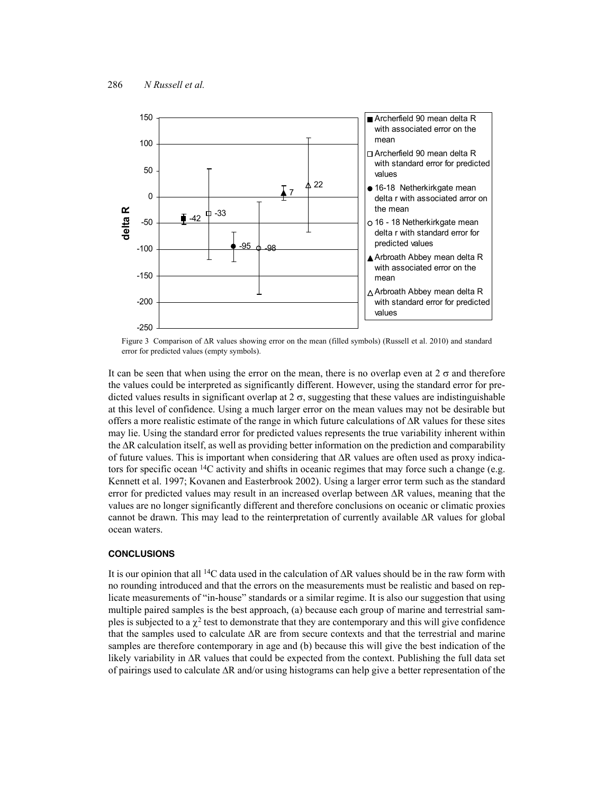

Figure 3 Comparison of  $\Delta R$  values showing error on the mean (filled symbols) (Russell et al. 2010) and standard error for predicted values (empty symbols).

It can be seen that when using the error on the mean, there is no overlap even at  $2\sigma$  and therefore the values could be interpreted as significantly different. However, using the standard error for predicted values results in significant overlap at  $2 \sigma$ , suggesting that these values are indistinguishable at this level of confidence. Using a much larger error on the mean values may not be desirable but offers a more realistic estimate of the range in which future calculations of  $\Delta R$  values for these sites may lie. Using the standard error for predicted values represents the true variability inherent within the  $\Delta R$  calculation itself, as well as providing better information on the prediction and comparability of future values. This is important when considering that  $\Delta R$  values are often used as proxy indicators for specific ocean  $^{14}$ C activity and shifts in oceanic regimes that may force such a change (e.g. Kennett et al. 1997; Kovanen and Easterbrook 2002). Using a larger error term such as the standard error for predicted values may result in an increased overlap between  $\Delta R$  values, meaning that the values are no longer significantly different and therefore conclusions on oceanic or climatic proxies cannot be drawn. This may lead to the reinterpretation of currently available  $\Delta R$  values for global ocean waters.

### **CONCLUSIONS**

It is our opinion that all <sup>14</sup>C data used in the calculation of  $\Delta R$  values should be in the raw form with no rounding introduced and that the errors on the measurements must be realistic and based on replicate measurements of "in-house" standards or a similar regime. It is also our suggestion that using multiple paired samples is the best approach, (a) because each group of marine and terrestrial samples is subjected to a  $\chi^2$  test to demonstrate that they are contemporary and this will give confidence that the samples used to calculate  $\Delta R$  are from secure contexts and that the terrestrial and marine samples are therefore contemporary in age and (b) because this will give the best indication of the likely variability in  $\Delta R$  values that could be expected from the context. Publishing the full data set of pairings used to calculate  $\Delta R$  and/or using histograms can help give a better representation of the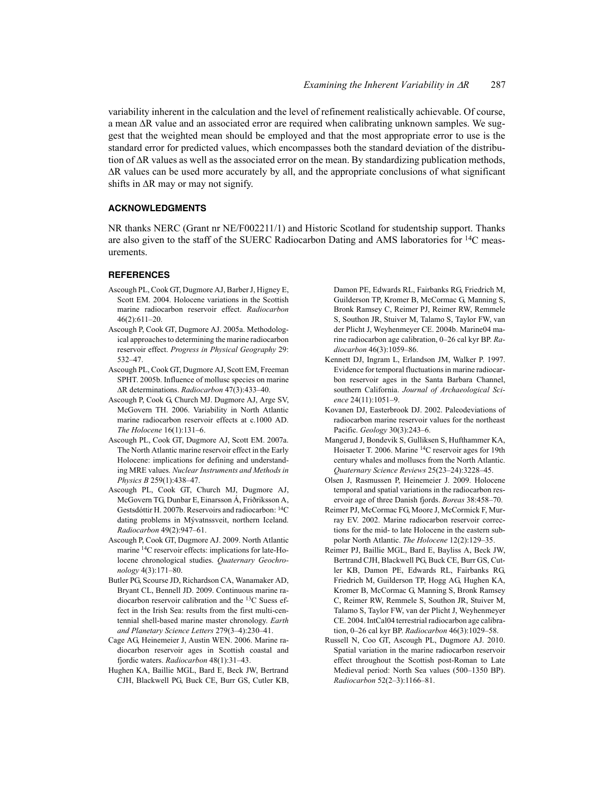variability inherent in the calculation and the level of refinement realistically achievable. Of course, a mean  $\Delta R$  value and an associated error are required when calibrating unknown samples. We suggest that the weighted mean should be employed and that the most appropriate error to use is the standard error for predicted values, which encompasses both the standard deviation of the distribution of  $\Delta R$  values as well as the associated error on the mean. By standardizing publication methods,  $\Delta R$  values can be used more accurately by all, and the appropriate conclusions of what significant shifts in  $\Delta R$  may or may not signify.

### **ACKNOWLEDGMENTS**

NR thanks NERC (Grant nr NE/F002211/1) and Historic Scotland for studentship support. Thanks are also given to the staff of the SUERC Radiocarbon Dating and AMS laboratories for  $^{14}C$  measurements.

#### **REFERENCES**

- Ascough PL, Cook GT, Dugmore AJ, Barber J, Higney E, Scott EM. 2004. Holocene variations in the Scottish marine radiocarbon reservoir effect. *Radiocarbon* 46(2):611–20.
- Ascough P, Cook GT, Dugmore AJ. 2005a. Methodological approaches to determining the marine radiocarbon reservoir effect. *Progress in Physical Geography* 29: 532–47.
- Ascough PL, Cook GT, Dugmore AJ, Scott EM, Freeman SPHT. 2005b. Influence of mollusc species on marine R determinations. *Radiocarbon* 47(3):433–40.
- Ascough P, Cook G, Church MJ. Dugmore AJ, Arge SV, McGovern TH. 2006. Variability in North Atlantic marine radiocarbon reservoir effects at c.1000 AD. *The Holocene* 16(1):131–6.
- Ascough PL, Cook GT, Dugmore AJ, Scott EM. 2007a. The North Atlantic marine reservoir effect in the Early Holocene: implications for defining and understanding MRE values. *Nuclear Instruments and Methods in Physics B* 259(1):438–47.
- Ascough PL, Cook GT, Church MJ, Dugmore AJ, McGovern TG, Dunbar E,Einarsson Á, Friðriksson A, Gestsdóttir H. 2007b. Reservoirs and radiocarbon: 14C dating problems in Mývatnssveit, northern Iceland. *Radiocarbon* 49(2):947–61.
- Ascough P, Cook GT, Dugmore AJ. 2009. North Atlantic marine 14C reservoir effects: implications for late-Holocene chronological studies. *Quaternary Geochronology* 4(3):171–80.
- Butler PG, Scourse JD, Richardson CA, Wanamaker AD, Bryant CL, Bennell JD. 2009. Continuous marine radiocarbon reservoir calibration and the 13C Suess effect in the Irish Sea: results from the first multi-centennial shell-based marine master chronology. *Earth and Planetary Science Letters* 279(3–4):230–41.
- Cage AG, Heinemeier J, Austin WEN. 2006. Marine radiocarbon reservoir ages in Scottish coastal and fjordic waters. *Radiocarbon* 48(1):31–43.
- Hughen KA, Baillie MGL, Bard E, Beck JW, Bertrand CJH, Blackwell PG, Buck CE, Burr GS, Cutler KB,

Damon PE, Edwards RL, Fairbanks RG, Friedrich M, Guilderson TP, Kromer B, McCormac G, Manning S, Bronk Ramsey C, Reimer PJ, Reimer RW, Remmele S, Southon JR, Stuiver M, Talamo S, Taylor FW, van der Plicht J, Weyhenmeyer CE. 2004b. Marine04 marine radiocarbon age calibration, 0–26 cal kyr BP. *Radiocarbon* 46(3):1059–86.

- Kennett DJ, Ingram L, Erlandson JM, Walker P. 1997. Evidence for temporal fluctuations in marine radiocarbon reservoir ages in the Santa Barbara Channel, southern California. *Journal of Archaeological Science* 24(11):1051–9.
- Kovanen DJ, Easterbrook DJ. 2002. Paleodeviations of radiocarbon marine reservoir values for the northeast Pacific. *Geology* 30(3):243–6.
- Mangerud J, Bondevik S, Gulliksen S, Hufthammer KA, Hoisaeter T. 2006. Marine 14C reservoir ages for 19th century whales and molluscs from the North Atlantic. *Quaternary Science Reviews* 25(23–24):3228–45.
- Olsen J, Rasmussen P, Heinemeier J. 2009. Holocene temporal and spatial variations in the radiocarbon reservoir age of three Danish fjords. *Boreas* 38:458–70.
- Reimer PJ, McCormac FG, Moore J, McCormick F, Murray EV. 2002. Marine radiocarbon reservoir corrections for the mid- to late Holocene in the eastern subpolar North Atlantic. *The Holocene* 12(2):129–35.
- Reimer PJ, Baillie MGL, Bard E, Bayliss A, Beck JW, Bertrand CJH, Blackwell PG, Buck CE, Burr GS, Cutler KB, Damon PE, Edwards RL, Fairbanks RG, Friedrich M, Guilderson TP, Hogg AG, Hughen KA, Kromer B, McCormac G, Manning S, Bronk Ramsey C, Reimer RW, Remmele S, Southon JR, Stuiver M, Talamo S, Taylor FW, van der Plicht J, Weyhenmeyer CE. 2004. IntCal04 terrestrial radiocarbon age calibration, 0–26 cal kyr BP. *Radiocarbon* 46(3):1029–58.
- Russell N, Coo GT, Ascough PL, Dugmore AJ. 2010. Spatial variation in the marine radiocarbon reservoir effect throughout the Scottish post-Roman to Late Medieval period: North Sea values (500–1350 BP). *Radiocarbon* 52(2–3):1166–81.